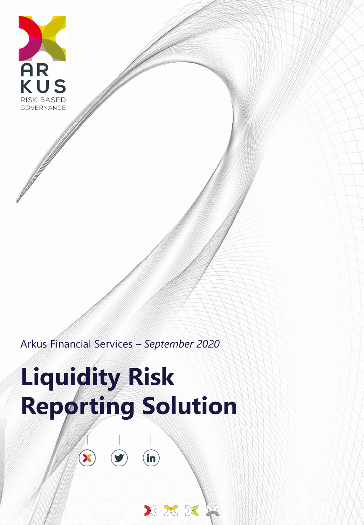

Arkus Financial Services *– September 2020*

# **Liquidity Risk Reporting Solution**

in

XXX

 $\widehat{\blacktriangleright}$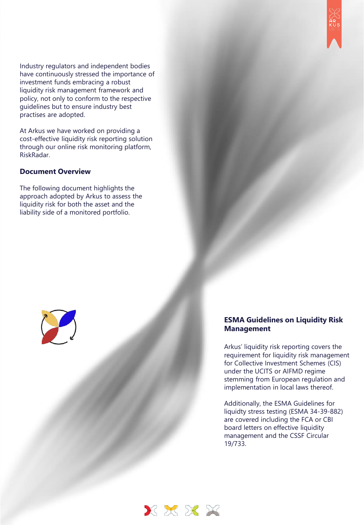Industry regulators and independent bodies have continuously stressed the importance of investment funds embracing a robust liquidity risk management framework and policy, not only to conform to the respective guidelines but to ensure industry best practises are adopted.

At Arkus we have worked on providing a cost-effective liquidity risk reporting solution through our online risk monitoring platform, RiskRadar.

#### **Document Overview**

The following document highlights the approach adopted by Arkus to assess the liquidity risk for both the asset and the liability side of a monitored portfolio.



#### **ESMA Guidelines on Liquidity Risk Management**

Arkus' liquidity risk reporting covers the requirement for liquidity risk management for Collective Investment Schemes (CIS) under the UCITS or AIFMD regime stemming from European regulation and implementation in local laws thereof.

Additionally, the ESMA Guidelines for liquidty stress testing (ESMA 34-39-882) are covered including the FCA or CBI board letters on effective liquidity management and the CSSF Circular 19/733.

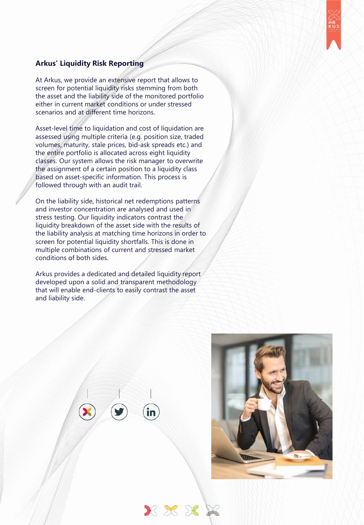

#### **Arkus' Liquidity Risk Reporting**

At Arkus, we provide an extensive report that allows to screen for potential liquidity risks stemming from both the asset and the liability side of the monitored portfolio either in current market conditions or under stressed scenarios and at different time horizons.

Asset-level time to liquidation and cost of liquidation are assessed using multiple criteria (e.g. position size, traded volumes, maturity, stale prices, bid-ask spreads etc.) and the entire portfolio is allocated across eight liquidity classes. Our system allows the risk manager to overwrite the assignment of a certain position to a liquidity class based on asset-specific information. This process is followed through with an audit trail.

On the liability side, historical net redemptions patterns and investor concentration are analysed and used in stress testing. Our liquidity indicators contrast the liquidity breakdown of the asset side with the results of the liability analysis at matching time horizons in order to screen for potential liquidity shortfalls. This is done in multiple combinations of current and stressed market conditions of both sides.

Arkus provides a dedicated and detailed liquidity report developed upon a solid and transparent methodology that will enable end-clients to easily contrast the asset and liability side.

XXXX

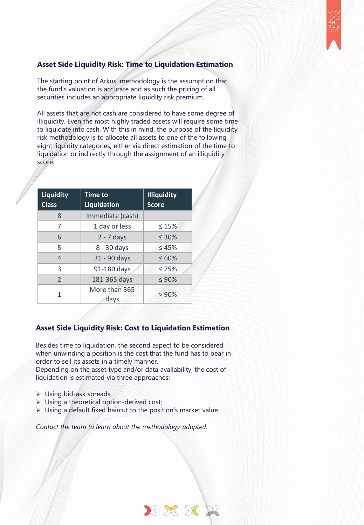

# **Asset Side Liquidity Risk: Time to Liquidation Estimation**

The starting point of Arkus' methodology is the assumption that the fund's valuation is accurate and as such the pricing of all securities includes an appropriate liquidity risk premium.

All assets that are not cash are considered to have some degree of illiquidity. Even the most highly traded assets will require some time to liquidate into cash. With this in mind, the purpose of the liquidity risk methodology is to allocate all assets to one of the following eight liquidity categories, either via direct estimation of the time to liquidation or indirectly through the assignment of an illiquidity score:

| <b>Liquidity</b><br><b>Class</b> | <b>Time to</b><br>Liquidation | <b>Illiquidity</b><br><b>Score</b> |  |  |  |
|----------------------------------|-------------------------------|------------------------------------|--|--|--|
| 8                                | Immediate (cash)              |                                    |  |  |  |
| 7                                | 1 day or less                 | $\leq 15\%$                        |  |  |  |
| 6                                | $2 - 7$ days                  | $\leq 30\%$                        |  |  |  |
| 5                                | 8 - 30 days                   | $\leq 45\%$                        |  |  |  |
| $\overline{4}$                   | 31 - 90 days                  | $\leq 60\%$                        |  |  |  |
| 3                                | 91-180 days                   | $\leq 75\%$                        |  |  |  |
| $\overline{\phantom{0}}$         | 181-365 days                  | $\leq 90\%$                        |  |  |  |
| 1                                | More than 365<br>days         | > 90%                              |  |  |  |

# **Asset Side Liquidity Risk: Cost to Liquidation Estimation**

Besides time to liquidation, the second aspect to be considered when unwinding a position is the cost that the fund has to bear in order to sell its assets in a timely manner.

Depending on the asset type and/or data availability, the cost of liquidation is estimated via three approaches:

- ➢ Using bid-ask spreads;
- ➢ Using a theoretical option-derived cost;
- ➢ Using a default fixed haircut to the position's market value.

*Contact the team to learn about the methodology adopted.* 

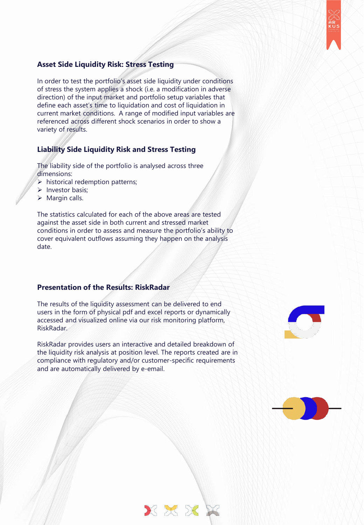

#### **Asset Side Liquidity Risk: Stress Testing**

In order to test the portfolio's asset side liquidity under conditions of stress the system applies a shock (i.e. a modification in adverse direction) of the input market and portfolio setup variables that define each asset's time to liquidation and cost of liquidation in current market conditions. A range of modified input variables are referenced across different shock scenarios in order to show a variety of results.

# **Liability Side Liquidity Risk and Stress Testing**

The liability side of the portfolio is analysed across three dimensions:

- $\triangleright$  historical redemption patterns;
- ➢ Investor basis;
- $\triangleright$  Margin calls.

The statistics calculated for each of the above areas are tested against the asset side in both current and stressed market conditions in order to assess and measure the portfolio's ability to cover equivalent outflows assuming they happen on the analysis date.

#### **Presentation of the Results: RiskRadar**

The results of the liquidity assessment can be delivered to end users in the form of physical pdf and excel reports or dynamically accessed and visualized online via our risk monitoring platform, RiskRadar.

RiskRadar provides users an interactive and detailed breakdown of the liquidity risk analysis at position level. The reports created are in compliance with regulatory and/or customer-specific requirements and are automatically delivered by e-email.

XXXX



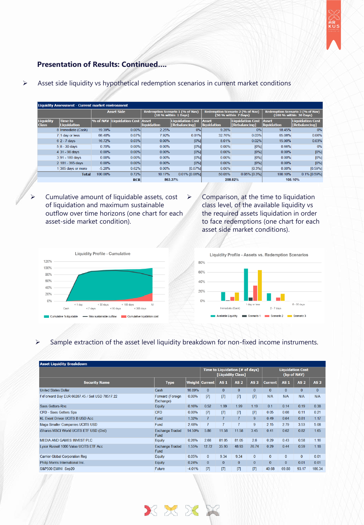

# **Presentation of Results: Continued….**

➢ Asset side liquidity vs hypothetical redemption scenarios in current market conditions

| <b>Liquidity Assessment - Current market environment</b> |                               |          |                            |                      |                                                          |                             |                                                          |                                                                   |                                   |  |  |
|----------------------------------------------------------|-------------------------------|----------|----------------------------|----------------------|----------------------------------------------------------|-----------------------------|----------------------------------------------------------|-------------------------------------------------------------------|-----------------------------------|--|--|
|                                                          | <b>Asset Side</b>             |          |                            |                      | Redemption Scenario 1 (% of Nav)<br>(10 % within 1 Days) |                             | Redemption Scenario 2 (% of Nav)<br>(50 % within 7 Days) | <b>Redemption Scenario 3 (% of Nav)</b><br>(100 % within 30 Days) |                                   |  |  |
| <b>Liquidity</b><br><b>Class</b>                         | <b>Time to</b><br>Liquidation |          | % of NAV  Liquidation Cost | Asset<br>liquidation | <b>Liquidation Cost</b><br><b>[Rebalancing]</b>          | Asset<br><b>liquidation</b> | <b>Liquidation Cost</b><br><b>[Rebalancing]</b>          | <b>Asset</b><br>liquidation                                       | Liquidation Cost<br>[Rebalancing] |  |  |
|                                                          | 8 Immediate (Cash)            | 19 39%   | $0.00\%$                   | 2.25%                | 0%                                                       | 9.28%                       | 0%                                                       | 18.45%                                                            | 0%                                |  |  |
|                                                          | 7 1 day or less               | 68.40%   | 0.07%                      | 7.92%                | 0.01%                                                    | 32.76%                      | 0.03%                                                    | 65.08%                                                            | 0.06%                             |  |  |
|                                                          | 6 2 - 7 days                  | 16.72%   | 0.03%                      | 0.00%                | [0%]                                                     | 8.01%                       | 0.02%                                                    | 15.90%                                                            | 0.03%                             |  |  |
|                                                          | $5 8-30$ days                 | 0.70%    | 0.00%                      | 0.00%                | [0%]                                                     | $0.00\%$                    | $[0\%]$                                                  | 0.66%                                                             | 0%                                |  |  |
|                                                          | 4 31 - 90 days                | 0.00%    | 0.00%                      | 0.00%                | [0%]                                                     | 0.00%                       | $[0\%]$                                                  | 0.00%                                                             | $[0\%]$                           |  |  |
|                                                          | 3 91 - 180 days               | $0.00\%$ | 0.00%                      | $0.00\%$             | [0%]                                                     | 0.00%                       | $[0\%]$                                                  | 0.00%                                                             | [0%]                              |  |  |
|                                                          | 2 181 - 365 days              | $0.00\%$ | $0.00\%$                   | 0.00%                | [0%]                                                     | 0.00%                       | $[0\%]$                                                  | 0.00%                                                             | $[0\%]$                           |  |  |
|                                                          | 1 365 days or more            | $-5.20%$ | 0.62%                      | $0.00\%$             | [0.07%]                                                  | $0.00\%$                    | [0.3%]                                                   | 0.00%                                                             | [0.59%]                           |  |  |
|                                                          | <b>Total</b>                  | 100.00%  | 0.72%                      | 10.17%               | $0.01\%$ [0.08%]                                         | 50.05%                      | $0.05\%$ [0.3%]                                          | 100.10%                                                           | $0.1\%$ [0.59%]                   |  |  |
|                                                          |                               |          | <b>RCR</b>                 |                      | 863.37%                                                  | 208.82%                     |                                                          | 105.10%                                                           |                                   |  |  |

- ➢ Cumulative amount of liquidable assets, cost of liquidation and maximum sustainable outflow over time horizons (one chart for each asset-side market condition).
- ➢ Comparison, at the time to liquidation class level, of the available liquidity vs the required assets liquidation in order to face redemptions (one chart for each asset side market conditions).



Liquidity Profile - Assets vs. Redemption Scenarios 80% 60% 40% 20%  $0%$ 8 - 30 days  $2 - 7$  days Scenario 3 Available Liquidity Scenario 2 Scenario 1

#### ➢ Sample extraction of the asset level liquidity breakdown for non-fixed income instruments.

| <b>Asset Liquidity Breakdown</b>               |                                       |          |                                                      |                |                 |                 |                                        |                 |            |                 |
|------------------------------------------------|---------------------------------------|----------|------------------------------------------------------|----------------|-----------------|-----------------|----------------------------------------|-----------------|------------|-----------------|
|                                                |                                       |          | Time to Liquidation (# of days)<br>[Liquidity Class] |                |                 |                 | <b>Liquidation Cost</b><br>(bp of NAV) |                 |            |                 |
| <b>Security Name</b>                           | <b>Type</b>                           |          | Weight Current                                       | <b>AS1</b>     | AS <sub>2</sub> | AS <sub>3</sub> | <b>Current</b>                         | AS <sub>1</sub> | <b>AS2</b> | AS <sub>3</sub> |
| <b>United States Dollar</b>                    | Cash                                  | 16.89%   | $\Omega$                                             | $\Omega$       | $\Omega$        | $\Omega$        | $\Omega$                               | $\Omega$        | $\Omega$   | $\Omega$        |
| FxForward Buy EUR 66287.45 / Sell USD 78517.22 | <b>Forward (Foreign</b><br>Exchange)  | 0.00%    | [7]                                                  | [7]            | [7]             | [7]             | N/A                                    | N/A             | N/A        | N/A             |
| Saes Getters-Rnc                               | Equity                                | 0.16%    | 0.52                                                 | 1.99           | 1.99            | 1.19            | 0.1                                    | 0.14            | 0.19       | 0.38            |
| CFD - Saes Getters Spa                         | <b>CFD</b>                            | 0.00%    | [7]                                                  | $[7]$          | $[7]$           | $[7]$           | 0.05                                   | 0.08            | 0.11       | 0.21            |
| KI Event Driven UCITS B USD Acc.               | Fund                                  | 1.32%    | $\overline{7}$                                       | $\overline{7}$ | $\overline{7}$  | 9               | 0.49                                   | 0.64            | 0.81       | 1.17            |
| Maga Smaller Companies UCITS USD               | Fund                                  | 2.48%    | 7                                                    | $\overline{7}$ | $\overline{7}$  | 9               | 2.15                                   | 2.79            | 3.53       | 5.08            |
| iShares MSCI World UCITS ETF USD (Dist)        | <b>Exchange Traded</b><br><b>Fund</b> | 14.50%   | 5.86                                                 | 11.58          | 11.58           | 3.45            | 0.41                                   | 0.62            | 0.82       | 1.65            |
| MEDIA AND GAMES INVEST PLC                     | Equity                                | 0.26%    | 2.68                                                 | 81.05          | 81.05           | 26              | 0.29                                   | 0.43            | 0.58       | 1.16            |
| Lyxor Russell 1000 Value UCITS ETF Acc         | <b>Exchange Traded</b><br><b>Fund</b> | 1.55%    | 12.72                                                | 35.93          | 48.93           | 76.74           | 0.29                                   | 0.44            | 0.59       | 1.18            |
| Carrier Global Corporation Reg                 | Equity                                | 0.05%    | $\mathbf{0}$                                         | 9.34           | 9.34            | $\mathbf{0}$    | $\mathbf{0}$                           | $\Omega$        | $\Omega$   | 0.01            |
| Philip Morris International Inc.               | Equity                                | 0.24%    | $\mathbf{0}$                                         | $\mathbf{0}$   | $\mathbf{0}$    | $\mathbf{0}$    | $\mathbf{0}$                           | $\Omega$        | 0.01       | 0.01            |
| S&P500 EMINI Sep20                             | Future                                | $-4.01%$ | [7]                                                  | [7]            | [7]             | [7]             | 40.68                                  | 69.88           | 93.17      | 186.34          |

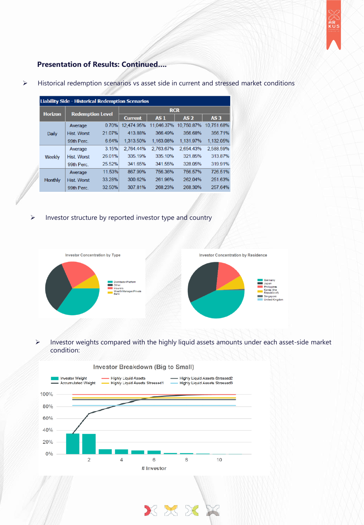

# **Presentation of Results: Continued….**

➢ Historical redemption scenarios vs asset side in current and stressed market conditions

|  | <b>Liability Side - Historical Redemption Scenarios</b> |                         |        |                |                 |                 |                 |  |  |  |  |  |
|--|---------------------------------------------------------|-------------------------|--------|----------------|-----------------|-----------------|-----------------|--|--|--|--|--|
|  | <b>Horizon</b>                                          |                         |        | <b>RCR</b>     |                 |                 |                 |  |  |  |  |  |
|  |                                                         | <b>Redemption Level</b> |        | <b>Current</b> | AS <sub>1</sub> | AS <sub>2</sub> | AS <sub>3</sub> |  |  |  |  |  |
|  |                                                         | Average                 | 0.70%  | 12,474.95%     | 11,046.37%      | 10,750.87%      | 10,751.68%      |  |  |  |  |  |
|  | <b>Daily</b>                                            | <b>Hist. Worst</b>      | 21.07% | 413.88%        | 366.49%         | 356.68%         | 356.71%         |  |  |  |  |  |
|  |                                                         | 99th Perc.              | 6.64%  | 1.313.50%      | 1.163.08%       | 1,131.97%       | 1.132.05%       |  |  |  |  |  |
|  | Weekly                                                  | Average                 | 3.15%  | 2.764.44%      | 2.763.67%       | 2,654.43%       | 2,588.59%       |  |  |  |  |  |
|  |                                                         | <b>Hist. Worst</b>      | 26.01% | 335.19%        | 335.10%         | 321.85%         | 313.87%         |  |  |  |  |  |
|  |                                                         | 99th Perc.              | 25.52% | 341.65%        | 341.55%         | 328.05%         | 319.91%         |  |  |  |  |  |
|  | <b>Monthly</b>                                          | Average                 | 11.53% | 867.99%        | 756.36%         | 756.57%         | 726.51%         |  |  |  |  |  |
|  |                                                         | <b>Hist</b> Worst       | 33.28% | 300.62%        | 261 96%         | 262.04%         | 251.63%         |  |  |  |  |  |
|  |                                                         | 99th Perc.              | 32.50% | 307.81%        | 268.23%         | 268.30%         | 257.64%         |  |  |  |  |  |
|  |                                                         |                         |        |                |                 |                 |                 |  |  |  |  |  |

➢ Investor structure by reported investor type and country



➢ Investor weights compared with the highly liquid assets amounts under each asset-side market condition:

XXX

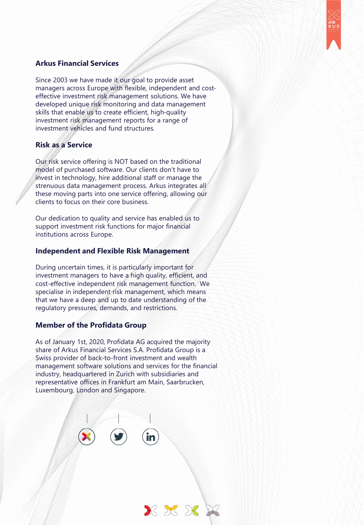

# **Arkus Financial Services**

Since 2003 we have made it our goal to provide asset managers across Europe with flexible, independent and costeffective investment risk management solutions. We have developed unique risk monitoring and data management skills that enable us to create efficient, high-quality investment risk management reports for a range of investment vehicles and fund structures.

#### **Risk as a Service**

Our risk service offering is NOT based on the traditional model of purchased software. Our clients don't have to invest in technology, hire additional staff or manage the strenuous data management process. Arkus integrates all these moving parts into one service offering, allowing our clients to focus on their core business.

Our dedication to quality and service has enabled us to support investment risk functions for major financial institutions across Europe.

#### **Independent and Flexible Risk Management**

During uncertain times, it is particularly important for investment managers to have a high quality, efficient, and cost-effective independent risk management function. We specialise in independent risk management, which means that we have a deep and up to date understanding of the regulatory pressures, demands, and restrictions.

#### **Member of the Profidata Group**

As of January 1st, 2020, Profidata AG acquired the majority share of Arkus Financial Services S.A. Profidata Group is a Swiss provider of back-to-front investment and wealth management software solutions and services for the financial industry, headquartered in Zurich with subsidiaries and representative offices in Frankfurt am Main, Saarbrucken, Luxembourg, London and Singapore.

XXX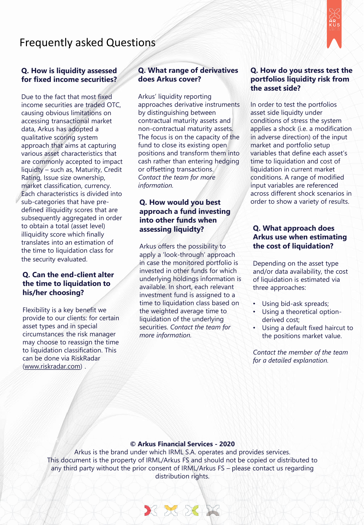# Frequently asked Questions



#### **Q. How is liquidity assessed for fixed income securities?**

Due to the fact that most fixed income securities are traded OTC, causing obvious limitations on accessing transactional market data, Arkus has adopted a qualitative scoring system approach that aims at capturing various asset characteristics that are commonly accepted to impact liquidty – such as, Maturity, Credit Rating, Issue size ownership, market classification, currency. Each characteristics is divided into sub-categories that have predefined illiquidity scores that are subsequently aggregated in order to obtain a total (asset level) illiquidity score which finally translates into an estimation of the time to liquidation class for the security evaluated.

#### **Q. Can the end-client alter the time to liquidation to his/her choosing?**

Flexibility is a key benefit we provide to our clients: for certain asset types and in special circumstances the risk manager may choose to reassign the time to liquidation classification. This can be done via RiskRadar [\(www.riskradar.com](http://www.riskradar.com/)) .

# **Q. What range of derivatives does Arkus cover?**

Arkus' liquidity reporting approaches derivative instruments by distinguishing between contractual maturity assets and non-contractual maturity assets. The focus is on the capacity of the fund to close its existing open positions and transform them into cash rather than entering hedging or offsetting transactions. *Contact the team for more information.*

#### **Q. How would you best approach a fund investing into other funds when assessing liquidty?**

Arkus offers the possibility to apply a 'look-through' approach in case the monitored portfolio is invested in other funds for which underlying holdings information is available. In short, each relevant investment fund is assigned to a time to liquidation class based on the weighted average time to liquidation of the underlying securities. *Contact the team for more information.* 

# **Q. How do you stress test the portfolios liquidity risk from the asset side?**

In order to test the portfolios asset side liquidty under conditions of stress the system applies a shock (i.e. a modification in adverse direction) of the input market and portfolio setup variables that define each asset's time to liquidation and cost of liquidation in current market conditions. A range of modified input variables are referenced across different shock scenarios in order to show a variety of results.

## **Q. What approach does Arkus use when estimating the cost of liquidation?**

Depending on the asset type and/or data availability, the cost of liquidation is estimated via three approaches:

- Using bid-ask spreads;
- Using a theoretical optionderived cost;
- Using a default fixed haircut to the positions market value.

*Contact the member of the team for a detailed explanation.* 

#### $@$  Arkus Financial Services - 2020

Arkus is the brand under which IRML S.A. operates and provides services. This document is the property of IRML/Arkus FS and should not be copied or distributed to any third party without the prior consent of IRML/Arkus FS – please contact us regarding distribution rights.